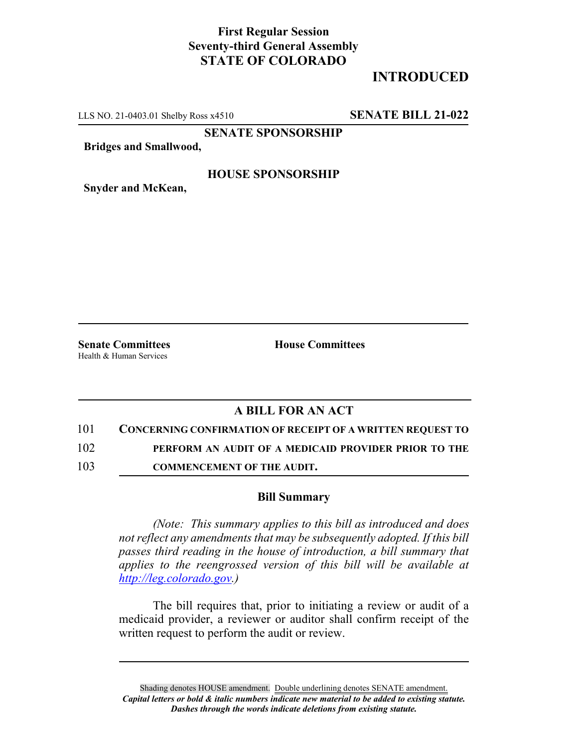## **First Regular Session Seventy-third General Assembly STATE OF COLORADO**

# **INTRODUCED**

LLS NO. 21-0403.01 Shelby Ross x4510 **SENATE BILL 21-022**

**SENATE SPONSORSHIP**

**Bridges and Smallwood,**

### **HOUSE SPONSORSHIP**

**Snyder and McKean,**

**Senate Committees House Committees** Health & Human Services

### **A BILL FOR AN ACT**

101 **CONCERNING CONFIRMATION OF RECEIPT OF A WRITTEN REQUEST TO**

102 **PERFORM AN AUDIT OF A MEDICAID PROVIDER PRIOR TO THE**

103 **COMMENCEMENT OF THE AUDIT.**

#### **Bill Summary**

*(Note: This summary applies to this bill as introduced and does not reflect any amendments that may be subsequently adopted. If this bill passes third reading in the house of introduction, a bill summary that applies to the reengrossed version of this bill will be available at http://leg.colorado.gov.)*

The bill requires that, prior to initiating a review or audit of a medicaid provider, a reviewer or auditor shall confirm receipt of the written request to perform the audit or review.

Shading denotes HOUSE amendment. Double underlining denotes SENATE amendment. *Capital letters or bold & italic numbers indicate new material to be added to existing statute. Dashes through the words indicate deletions from existing statute.*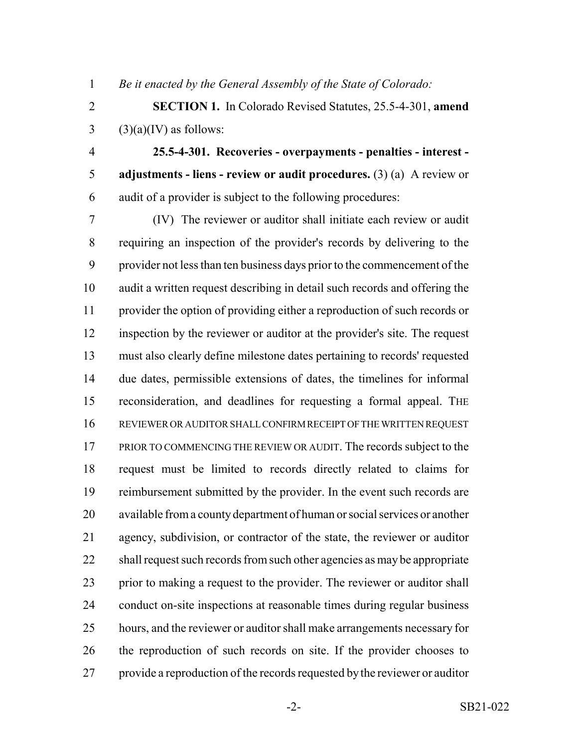*Be it enacted by the General Assembly of the State of Colorado:*

- **SECTION 1.** In Colorado Revised Statutes, 25.5-4-301, **amend** (3)(a)(IV) as follows:
- 

 **25.5-4-301. Recoveries - overpayments - penalties - interest - adjustments - liens - review or audit procedures.** (3) (a) A review or audit of a provider is subject to the following procedures:

 (IV) The reviewer or auditor shall initiate each review or audit requiring an inspection of the provider's records by delivering to the provider not less than ten business days prior to the commencement of the audit a written request describing in detail such records and offering the provider the option of providing either a reproduction of such records or inspection by the reviewer or auditor at the provider's site. The request must also clearly define milestone dates pertaining to records' requested due dates, permissible extensions of dates, the timelines for informal reconsideration, and deadlines for requesting a formal appeal. THE REVIEWER OR AUDITOR SHALL CONFIRM RECEIPT OF THE WRITTEN REQUEST 17 PRIOR TO COMMENCING THE REVIEW OR AUDIT. The records subject to the request must be limited to records directly related to claims for 19 reimbursement submitted by the provider. In the event such records are available from a county department of human or social services or another agency, subdivision, or contractor of the state, the reviewer or auditor 22 shall request such records from such other agencies as may be appropriate prior to making a request to the provider. The reviewer or auditor shall conduct on-site inspections at reasonable times during regular business hours, and the reviewer or auditor shall make arrangements necessary for the reproduction of such records on site. If the provider chooses to provide a reproduction of the records requested by the reviewer or auditor